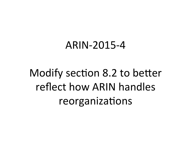#### ARIN-2015-4

# Modify section 8.2 to better reflect how ARIN handles reorganizations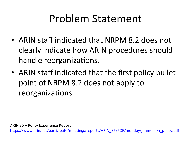### Problem Statement

- ARIN staff indicated that NRPM 8.2 does not clearly indicate how ARIN procedures should handle reorganizations.
- ARIN staff indicated that the first policy bullet point of NRPM 8.2 does not apply to reorganizations.

https://www.arin.net/participate/meetings/reports/ARIN\_35/PDF/monday/jimmerson\_policy.pdf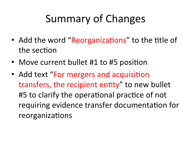# Summary of Changes

- Add the word "Reorganizations" to the title of the section
- Move current bullet #1 to #5 position
- Add text "For mergers and acquisition transfers, the recipient entity" to new bullet #5 to clarify the operational practice of not requiring evidence transfer documentation for reorganizations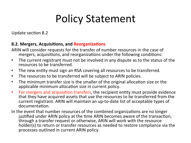### Policy Statement

Update section 8.2

#### **8.2. Mergers, Acquisitions, and Reorganizations**

- ARIN will consider requests for the transfer of number resources in the case of mergers, acquisitions, and reorganizations under the following conditions:
- The current registrant must not be involved in any dispute as to the status of the resources to be transferred.
- The new entity must sign an RSA covering all resources to be transferred.
- The resources to be transferred will be subject to ARIN policies.
- The minimum transfer size is the smaller of the original allocation size or the applicable minimum allocation size in current policy.
- For mergers and acquisition transfers, the recipient entity must provide evidence that they have acquired assets that use the resources to be transferred from the current registrant. ARIN will maintain an up-to-date list of acceptable types of documentation.
- In the event that number resources of the combined organizations are no longer justified under ARIN policy at the time ARIN becomes aware of the transaction, through a transfer request or otherwise, ARIN will work with the resource holder(s) to return or transfer resources as needed to restore compliance via the processes outlined in current ARIN policy.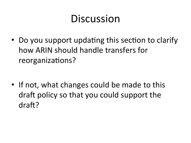#### Discussion

• Do you support updating this section to clarify how ARIN should handle transfers for reorganizations?

• If not, what changes could be made to this draft policy so that you could support the draft?